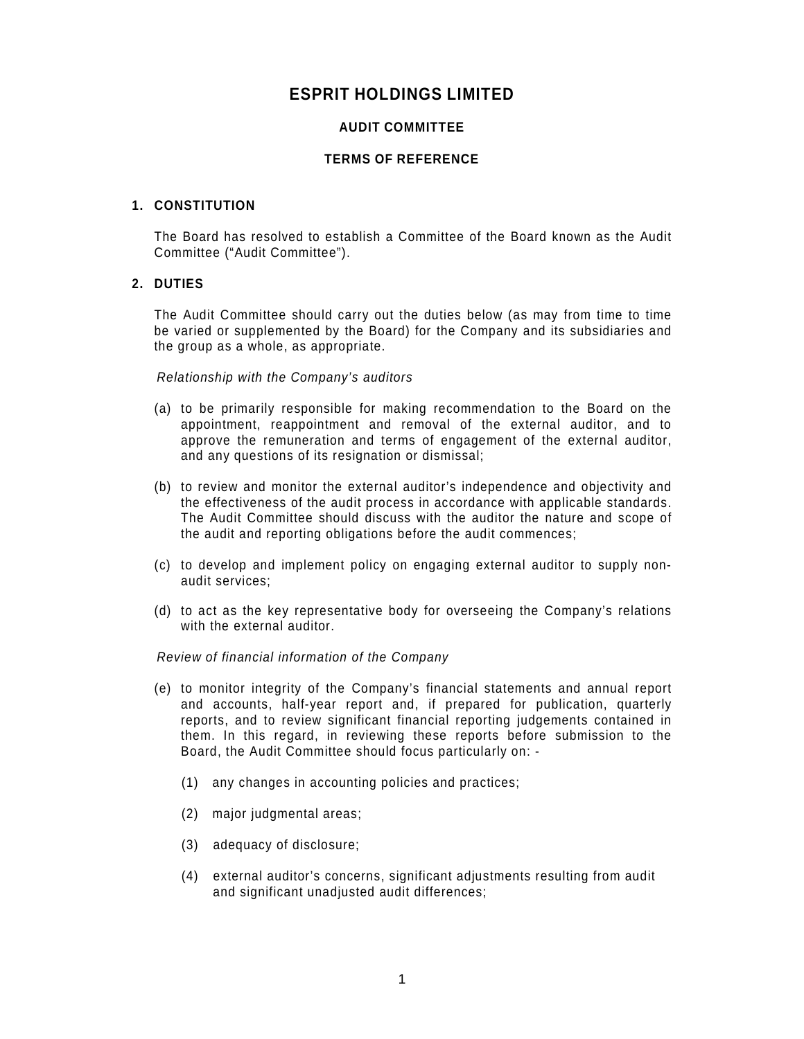# **ESPRIT HOLDINGS LIMITED**

# **AUDIT COMMITTEE**

# **TERMS OF REFERENCE**

# **1. CONSTITUTION**

The Board has resolved to establish a Committee of the Board known as the Audit Committee ("Audit Committee").

# **2. DUTIES**

The Audit Committee should carry out the duties below (as may from time to time be varied or supplemented by the Board) for the Company and its subsidiaries and the group as a whole, as appropriate.

Relationship with the Company's auditors

- (a) to be primarily responsible for making recommendation to the Board on the appointment, reappointment and removal of the external auditor, and to approve the remuneration and terms of engagement of the external auditor, and any questions of its resignation or dismissal;
- (b) to review and monitor the external auditor's independence and objectivity and the effectiveness of the audit process in accordance with applicable standards. The Audit Committee should discuss with the auditor the nature and scope of the audit and reporting obligations before the audit commences;
- (c) to develop and implement policy on engaging external auditor to supply nonaudit services;
- (d) to act as the key representative body for overseeing the Company's relations with the external auditor.

# Review of financial information of the Company

- (e) to monitor integrity of the Company's financial statements and annual report and accounts, half-year report and, if prepared for publication, quarterly reports, and to review significant financial reporting judgements contained in them. In this regard, in reviewing these reports before submission to the Board, the Audit Committee should focus particularly on: -
	- (1) any changes in accounting policies and practices;
	- (2) major judgmental areas;
	- (3) adequacy of disclosure;
	- (4) external auditor's concerns, significant adjustments resulting from audit and significant unadjusted audit differences;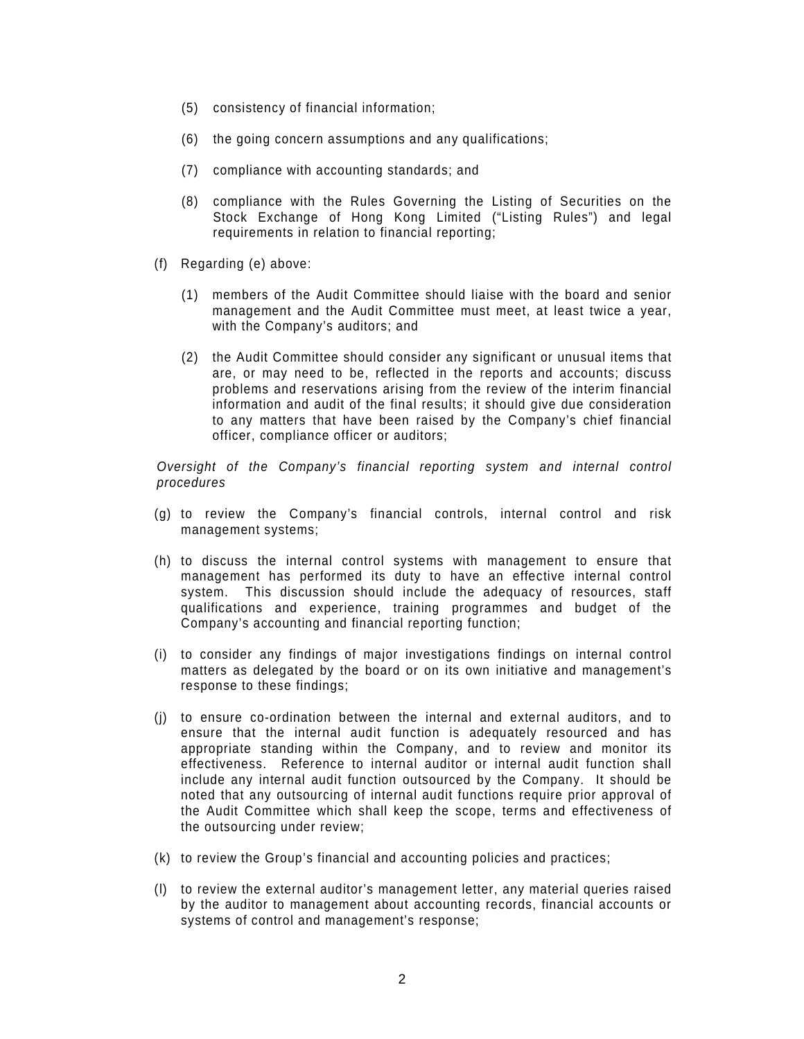- (5) consistency of financial information;
- (6) the going concern assumptions and any qualifications;
- (7) compliance with accounting standards; and
- (8) compliance with the Rules Governing the Listing of Securities on the Stock Exchange of Hong Kong Limited ("Listing Rules") and legal requirements in relation to financial reporting;
- (f) Regarding (e) above:
	- (1) members of the Audit Committee should liaise with the board and senior management and the Audit Committee must meet, at least twice a year, with the Company's auditors; and
	- (2) the Audit Committee should consider any significant or unusual items that are, or may need to be, reflected in the reports and accounts; discuss problems and reservations arising from the review of the interim financial information and audit of the final results; it should give due consideration to any matters that have been raised by the Company's chief financial officer, compliance officer or auditors;

Oversight of the Company's financial reporting system and internal control procedures

- (g) to review the Company's financial controls, internal control and risk management systems;
- (h) to discuss the internal control systems with management to ensure that management has performed its duty to have an effective internal control system. This discussion should include the adequacy of resources, staff qualifications and experience, training programmes and budget of the Company's accounting and financial reporting function;
- (i) to consider any findings of major investigations findings on internal control matters as delegated by the board or on its own initiative and management's response to these findings;
- (j) to ensure co-ordination between the internal and external auditors, and to ensure that the internal audit function is adequately resourced and has appropriate standing within the Company, and to review and monitor its effectiveness. Reference to internal auditor or internal audit function shall include any internal audit function outsourced by the Company. It should be noted that any outsourcing of internal audit functions require prior approval of the Audit Committee which shall keep the scope, terms and effectiveness of the outsourcing under review;
- (k) to review the Group's financial and accounting policies and practices;
- (l) to review the external auditor's management letter, any material queries raised by the auditor to management about accounting records, financial accounts or systems of control and management's response;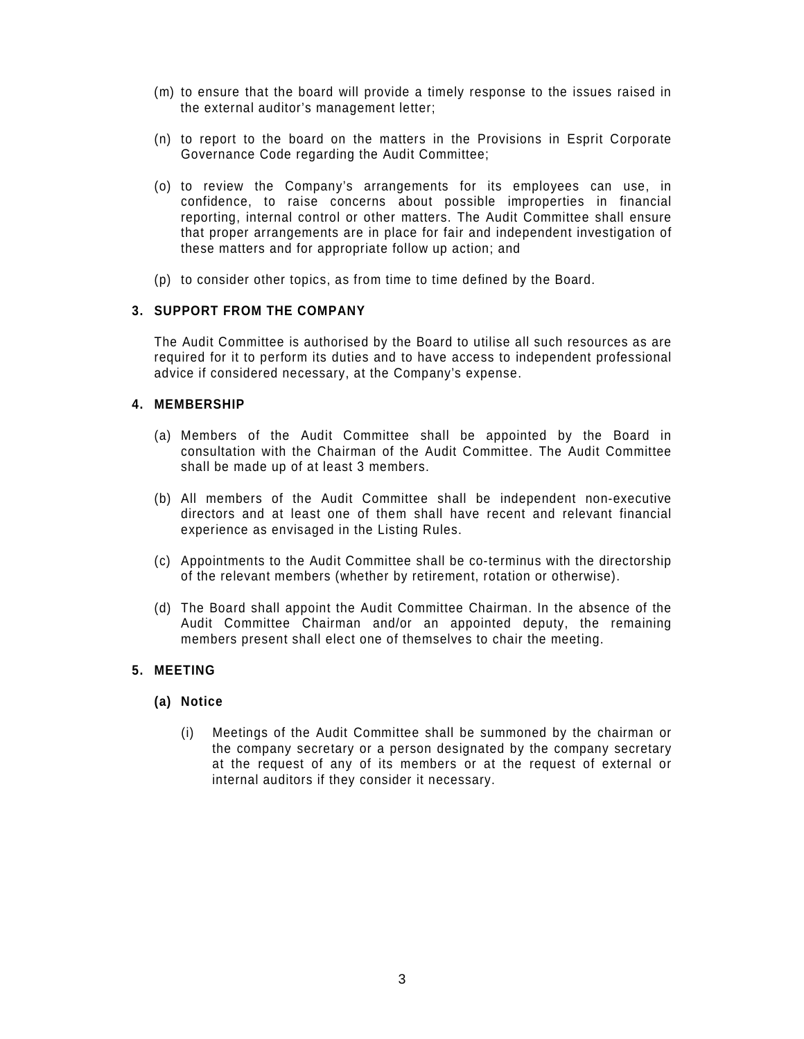- (m) to ensure that the board will provide a timely response to the issues raised in the external auditor's management letter;
- (n) to report to the board on the matters in the Provisions in Esprit Corporate Governance Code regarding the Audit Committee;
- (o) to review the Company's arrangements for its employees can use, in confidence, to raise concerns about possible improperties in financial reporting, internal control or other matters. The Audit Committee shall ensure that proper arrangements are in place for fair and independent investigation of these matters and for appropriate follow up action; and
- (p) to consider other topics, as from time to time defined by the Board.

#### **3. SUPPORT FROM THE COMPANY**

The Audit Committee is authorised by the Board to utilise all such resources as are required for it to perform its duties and to have access to independent professional advice if considered necessary, at the Company's expense.

# **4. MEMBERSHIP**

- (a) Members of the Audit Committee shall be appointed by the Board in consultation with the Chairman of the Audit Committee. The Audit Committee shall be made up of at least 3 members.
- (b) All members of the Audit Committee shall be independent non-executive directors and at least one of them shall have recent and relevant financial experience as envisaged in the Listing Rules.
- (c) Appointments to the Audit Committee shall be co-terminus with the directorship of the relevant members (whether by retirement, rotation or otherwise).
- (d) The Board shall appoint the Audit Committee Chairman. In the absence of the Audit Committee Chairman and/or an appointed deputy, the remaining members present shall elect one of themselves to chair the meeting.

# **5. MEETING**

#### **(a) Notice**

(i) Meetings of the Audit Committee shall be summoned by the chairman or the company secretary or a person designated by the company secretary at the request of any of its members or at the request of external or internal auditors if they consider it necessary.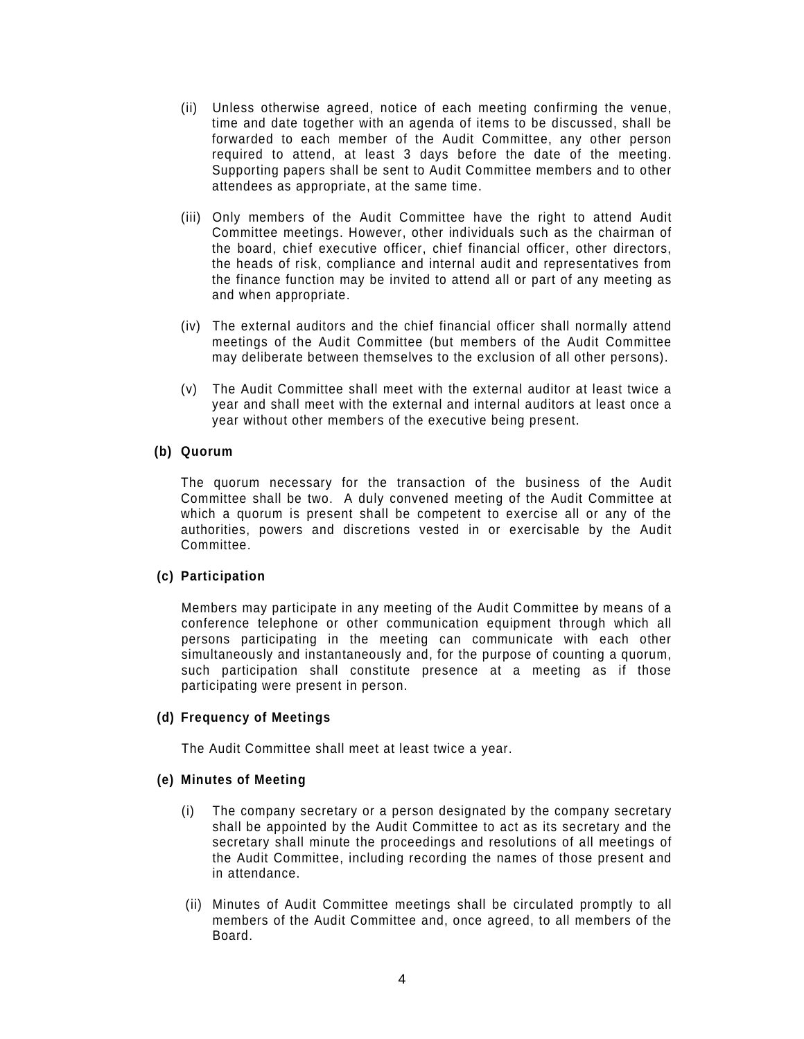- (ii) Unless otherwise agreed, notice of each meeting confirming the venue, time and date together with an agenda of items to be discussed, shall be forwarded to each member of the Audit Committee, any other person required to attend, at least 3 days before the date of the meeting. Supporting papers shall be sent to Audit Committee members and to other attendees as appropriate, at the same time.
- (iii) Only members of the Audit Committee have the right to attend Audit Committee meetings. However, other individuals such as the chairman of the board, chief executive officer, chief financial officer, other directors, the heads of risk, compliance and internal audit and representatives from the finance function may be invited to attend all or part of any meeting as and when appropriate.
- (iv) The external auditors and the chief financial officer shall normally attend meetings of the Audit Committee (but members of the Audit Committee may deliberate between themselves to the exclusion of all other persons).
- (v) The Audit Committee shall meet with the external auditor at least twice a year and shall meet with the external and internal auditors at least once a year without other members of the executive being present.

# **(b) Quorum**

The quorum necessary for the transaction of the business of the Audit Committee shall be two. A duly convened meeting of the Audit Committee at which a quorum is present shall be competent to exercise all or any of the authorities, powers and discretions vested in or exercisable by the Audit Committee.

# **(c) Participation**

Members may participate in any meeting of the Audit Committee by means of a conference telephone or other communication equipment through which all persons participating in the meeting can communicate with each other simultaneously and instantaneously and, for the purpose of counting a quorum, such participation shall constitute presence at a meeting as if those participating were present in person.

#### **(d) Frequency of Meetings**

The Audit Committee shall meet at least twice a year.

# **(e) Minutes of Meeting**

- (i) The company secretary or a person designated by the company secretary shall be appointed by the Audit Committee to act as its secretary and the secretary shall minute the proceedings and resolutions of all meetings of the Audit Committee, including recording the names of those present and in attendance.
- (ii) Minutes of Audit Committee meetings shall be circulated promptly to all members of the Audit Committee and, once agreed, to all members of the Board.